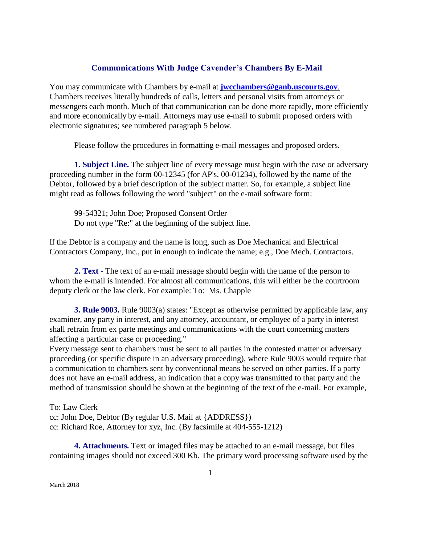## **Communications With Judge Cavender's Chambers By E-Mail**

You may communicate with Chambers by e-mail at **[jwcchambers@ganb.uscourts.gov](mailto:jwcchambers@ganb.uscourts.gov.)**. Chambers receives literally hundreds of calls, letters and personal visits from attorneys or messengers each month. Much of that communication can be done more rapidly, more efficiently and more economically by e-mail. Attorneys may use e-mail to submit proposed orders with electronic signatures; see numbered paragraph 5 below.

Please follow the procedures in formatting e-mail messages and proposed orders.

**1. Subject Line.** The subject line of every message must begin with the case or adversary proceeding number in the form 00-12345 (for AP's, 00-01234), followed by the name of the Debtor, followed by a brief description of the subject matter. So, for example, a subject line might read as follows following the word "subject" on the e-mail software form:

99-54321; John Doe; Proposed Consent Order Do not type "Re:" at the beginning of the subject line.

If the Debtor is a company and the name is long, such as Doe Mechanical and Electrical Contractors Company, Inc., put in enough to indicate the name; e.g., Doe Mech. Contractors.

**2. Text -** The text of an e-mail message should begin with the name of the person to whom the e-mail is intended. For almost all communications, this will either be the courtroom deputy clerk or the law clerk. For example: To: Ms. Chapple

**3. Rule 9003.** Rule 9003(a) states: "Except as otherwise permitted by applicable law, any examiner, any party in interest, and any attorney, accountant, or employee of a party in interest shall refrain from ex parte meetings and communications with the court concerning matters affecting a particular case or proceeding."

Every message sent to chambers must be sent to all parties in the contested matter or adversary proceeding (or specific dispute in an adversary proceeding), where Rule 9003 would require that a communication to chambers sent by conventional means be served on other parties. If a party does not have an e-mail address, an indication that a copy was transmitted to that party and the method of transmission should be shown at the beginning of the text of the e-mail. For example,

To: Law Clerk cc: John Doe, Debtor (By regular U.S. Mail at {ADDRESS}) cc: Richard Roe, Attorney for xyz, Inc. (By facsimile at 404-555-1212)

**4. Attachments.** Text or imaged files may be attached to an e-mail message, but files containing images should not exceed 300 Kb. The primary word processing software used by the